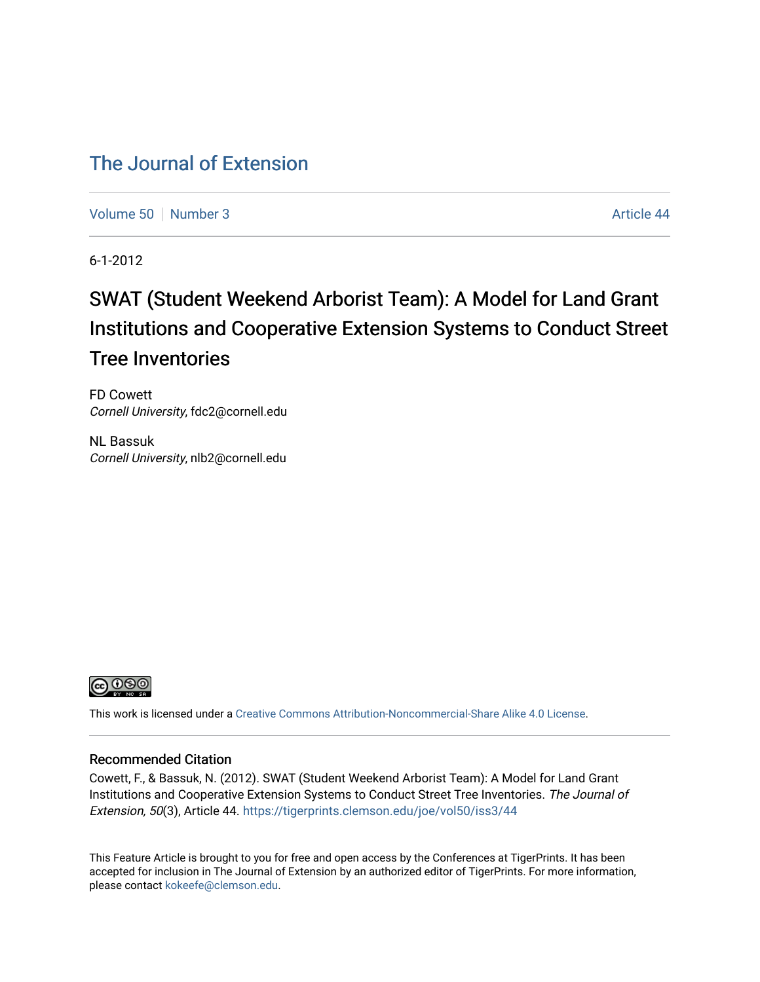# [The Journal of Extension](https://tigerprints.clemson.edu/joe)

[Volume 50](https://tigerprints.clemson.edu/joe/vol50) [Number 3](https://tigerprints.clemson.edu/joe/vol50/iss3) Article 44

6-1-2012

# SWAT (Student Weekend Arborist Team): A Model for Land Grant Institutions and Cooperative Extension Systems to Conduct Street Tree Inventories

FD Cowett Cornell University, fdc2@cornell.edu

NL Bassuk Cornell University, nlb2@cornell.edu



This work is licensed under a [Creative Commons Attribution-Noncommercial-Share Alike 4.0 License.](https://creativecommons.org/licenses/by-nc-sa/4.0/)

#### Recommended Citation

Cowett, F., & Bassuk, N. (2012). SWAT (Student Weekend Arborist Team): A Model for Land Grant Institutions and Cooperative Extension Systems to Conduct Street Tree Inventories. The Journal of Extension, 50(3), Article 44. <https://tigerprints.clemson.edu/joe/vol50/iss3/44>

This Feature Article is brought to you for free and open access by the Conferences at TigerPrints. It has been accepted for inclusion in The Journal of Extension by an authorized editor of TigerPrints. For more information, please contact [kokeefe@clemson.edu](mailto:kokeefe@clemson.edu).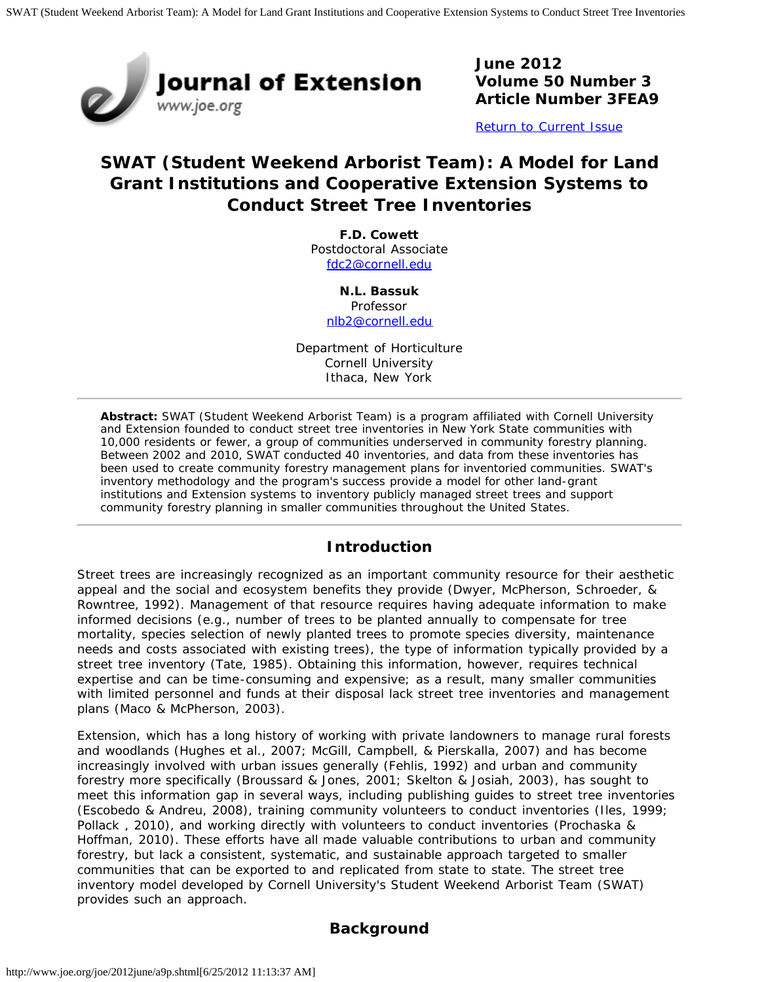

**June 2012 Volume 50 Number 3 Article Number 3FEA9**

[Return to Current Issue](http://www.joe.org/joe/2012june/)

# **SWAT (Student Weekend Arborist Team): A Model for Land Grant Institutions and Cooperative Extension Systems to Conduct Street Tree Inventories**

**F.D. Cowett** Postdoctoral Associate [fdc2@cornell.edu](mailto:fdc2@cornell.edu)

> **N.L. Bassuk** Professor [nlb2@cornell.edu](mailto:nlb2@cornell.edu)

Department of Horticulture Cornell University Ithaca, New York

*Abstract: SWAT (Student Weekend Arborist Team) is a program affiliated with Cornell University and Extension founded to conduct street tree inventories in New York State communities with 10,000 residents or fewer, a group of communities underserved in community forestry planning. Between 2002 and 2010, SWAT conducted 40 inventories, and data from these inventories has been used to create community forestry management plans for inventoried communities. SWAT's inventory methodology and the program's success provide a model for other land-grant institutions and Extension systems to inventory publicly managed street trees and support community forestry planning in smaller communities throughout the United States.*

#### **Introduction**

Street trees are increasingly recognized as an important community resource for their aesthetic appeal and the social and ecosystem benefits they provide (Dwyer, McPherson, Schroeder, & Rowntree, 1992). Management of that resource requires having adequate information to make informed decisions (e.g., number of trees to be planted annually to compensate for tree mortality, species selection of newly planted trees to promote species diversity, maintenance needs and costs associated with existing trees), the type of information typically provided by a street tree inventory (Tate, 1985). Obtaining this information, however, requires technical expertise and can be time-consuming and expensive; as a result, many smaller communities with limited personnel and funds at their disposal lack street tree inventories and management plans (Maco & McPherson, 2003).

Extension, which has a long history of working with private landowners to manage rural forests and woodlands (Hughes et al., 2007; McGill, Campbell, & Pierskalla, 2007) and has become increasingly involved with urban issues generally (Fehlis, 1992) and urban and community forestry more specifically (Broussard & Jones, 2001; Skelton & Josiah, 2003), has sought to meet this information gap in several ways, including publishing guides to street tree inventories (Escobedo & Andreu, 2008), training community volunteers to conduct inventories (Iles, 1999; Pollack , 2010), and working directly with volunteers to conduct inventories (Prochaska & Hoffman, 2010). These efforts have all made valuable contributions to urban and community forestry, but lack a consistent, systematic, and sustainable approach targeted to smaller communities that can be exported to and replicated from state to state. The street tree inventory model developed by Cornell University's Student Weekend Arborist Team (SWAT) provides such an approach.

### **Background**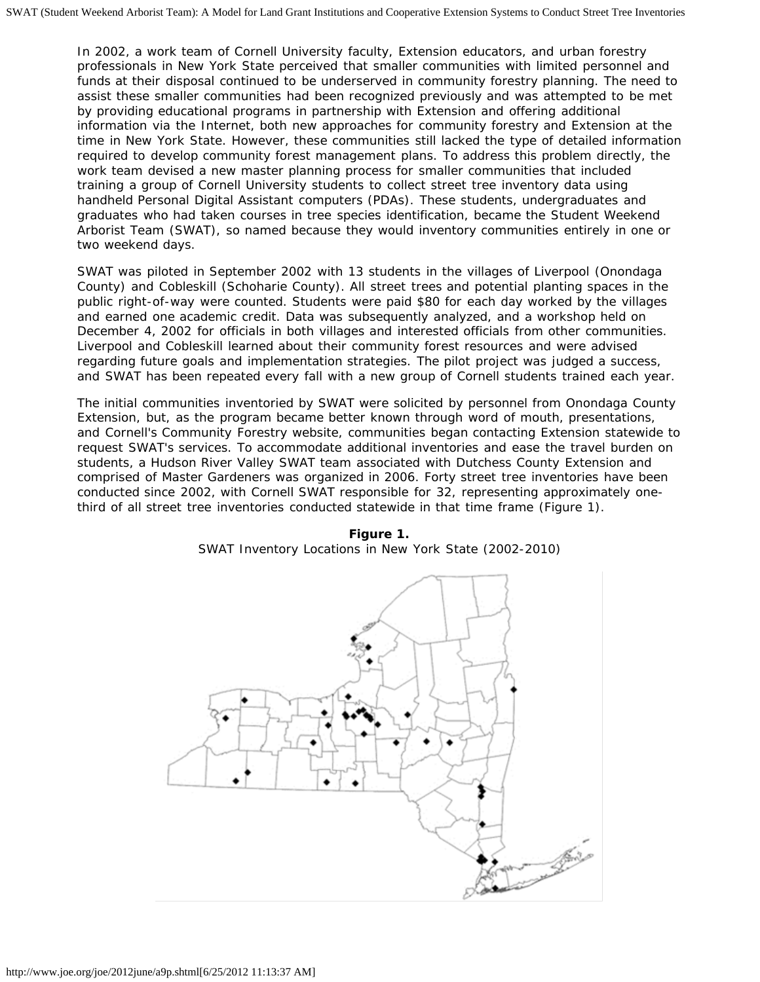In 2002, a work team of Cornell University faculty, Extension educators, and urban forestry professionals in New York State perceived that smaller communities with limited personnel and funds at their disposal continued to be underserved in community forestry planning. The need to assist these smaller communities had been recognized previously and was attempted to be met by providing educational programs in partnership with Extension and offering additional information via the Internet, both new approaches for community forestry and Extension at the time in New York State. However, these communities still lacked the type of detailed information required to develop community forest management plans. To address this problem directly, the work team devised a new master planning process for smaller communities that included training a group of Cornell University students to collect street tree inventory data using handheld Personal Digital Assistant computers (PDAs). These students, undergraduates and graduates who had taken courses in tree species identification, became the Student Weekend Arborist Team (SWAT), so named because they would inventory communities entirely in one or two weekend days.

SWAT was piloted in September 2002 with 13 students in the villages of Liverpool (Onondaga County) and Cobleskill (Schoharie County). All street trees and potential planting spaces in the public right-of-way were counted. Students were paid \$80 for each day worked by the villages and earned one academic credit. Data was subsequently analyzed, and a workshop held on December 4, 2002 for officials in both villages and interested officials from other communities. Liverpool and Cobleskill learned about their community forest resources and were advised regarding future goals and implementation strategies. The pilot project was judged a success, and SWAT has been repeated every fall with a new group of Cornell students trained each year.

The initial communities inventoried by SWAT were solicited by personnel from Onondaga County Extension, but, as the program became better known through word of mouth, presentations, and Cornell's Community Forestry website, communities began contacting Extension statewide to request SWAT's services. To accommodate additional inventories and ease the travel burden on students, a Hudson River Valley SWAT team associated with Dutchess County Extension and comprised of Master Gardeners was organized in 2006. Forty street tree inventories have been conducted since 2002, with Cornell SWAT responsible for 32, representing approximately onethird of all street tree inventories conducted statewide in that time frame (Figure 1).



**Figure 1.** SWAT Inventory Locations in New York State (2002-2010)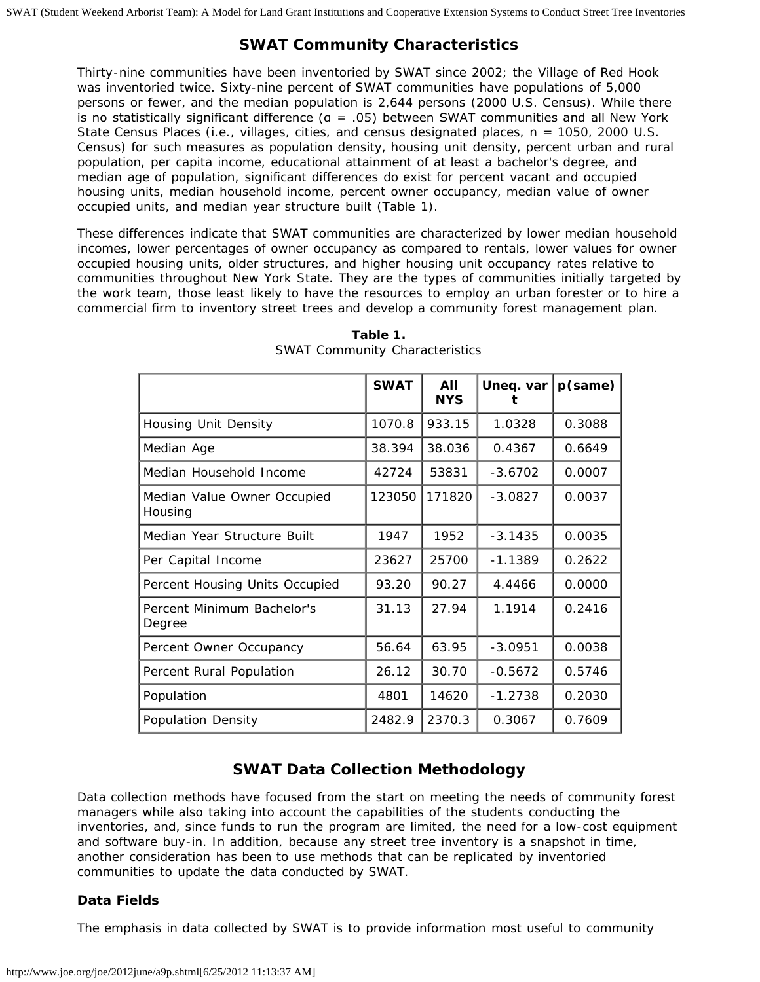## **SWAT Community Characteristics**

Thirty-nine communities have been inventoried by SWAT since 2002; the Village of Red Hook was inventoried twice. Sixty-nine percent of SWAT communities have populations of 5,000 persons or fewer, and the median population is 2,644 persons (2000 U.S. Census). While there is no statistically significant difference ( $a = .05$ ) between SWAT communities and all New York State Census Places (i.e., villages, cities, and census designated places, n = 1050, 2000 U.S. Census) for such measures as population density, housing unit density, percent urban and rural population, per capita income, educational attainment of at least a bachelor's degree, and median age of population, significant differences do exist for percent vacant and occupied housing units, median household income, percent owner occupancy, median value of owner occupied units, and median year structure built (Table 1).

These differences indicate that SWAT communities are characterized by lower median household incomes, lower percentages of owner occupancy as compared to rentals, lower values for owner occupied housing units, older structures, and higher housing unit occupancy rates relative to communities throughout New York State. They are the types of communities initially targeted by the work team, those least likely to have the resources to employ an urban forester or to hire a commercial firm to inventory street trees and develop a community forest management plan.

|                                        | <b>SWAT</b> | AII<br><b>NYS</b> | Uneq. var | $p$ (same) |
|----------------------------------------|-------------|-------------------|-----------|------------|
| Housing Unit Density                   | 1070.8      | 933.15            | 1.0328    | 0.3088     |
| Median Age                             | 38.394      | 38.036            | 0.4367    | 0.6649     |
| Median Household Income                | 42724       | 53831             | $-3.6702$ | 0.0007     |
| Median Value Owner Occupied<br>Housing | 123050      | 171820            | $-3.0827$ | 0.0037     |
| Median Year Structure Built            | 1947        | 1952              | $-3.1435$ | 0.0035     |
| Per Capital Income                     | 23627       | 25700             | $-1.1389$ | 0.2622     |
| Percent Housing Units Occupied         | 93.20       | 90.27             | 4.4466    | 0.0000     |
| Percent Minimum Bachelor's<br>Degree   | 31.13       | 27.94             | 1.1914    | 0.2416     |
| Percent Owner Occupancy                | 56.64       | 63.95             | $-3.0951$ | 0.0038     |
| Percent Rural Population               | 26.12       | 30.70             | $-0.5672$ | 0.5746     |
| Population                             | 4801        | 14620             | $-1.2738$ | 0.2030     |
| <b>Population Density</b>              | 2482.9      | 2370.3            | 0.3067    | 0.7609     |

**Table 1.** SWAT Community Characteristics

## **SWAT Data Collection Methodology**

Data collection methods have focused from the start on meeting the needs of community forest managers while also taking into account the capabilities of the students conducting the inventories, and, since funds to run the program are limited, the need for a low-cost equipment and software buy-in. In addition, because any street tree inventory is a snapshot in time, another consideration has been to use methods that can be replicated by inventoried communities to update the data conducted by SWAT.

#### **Data Fields**

The emphasis in data collected by SWAT is to provide information most useful to community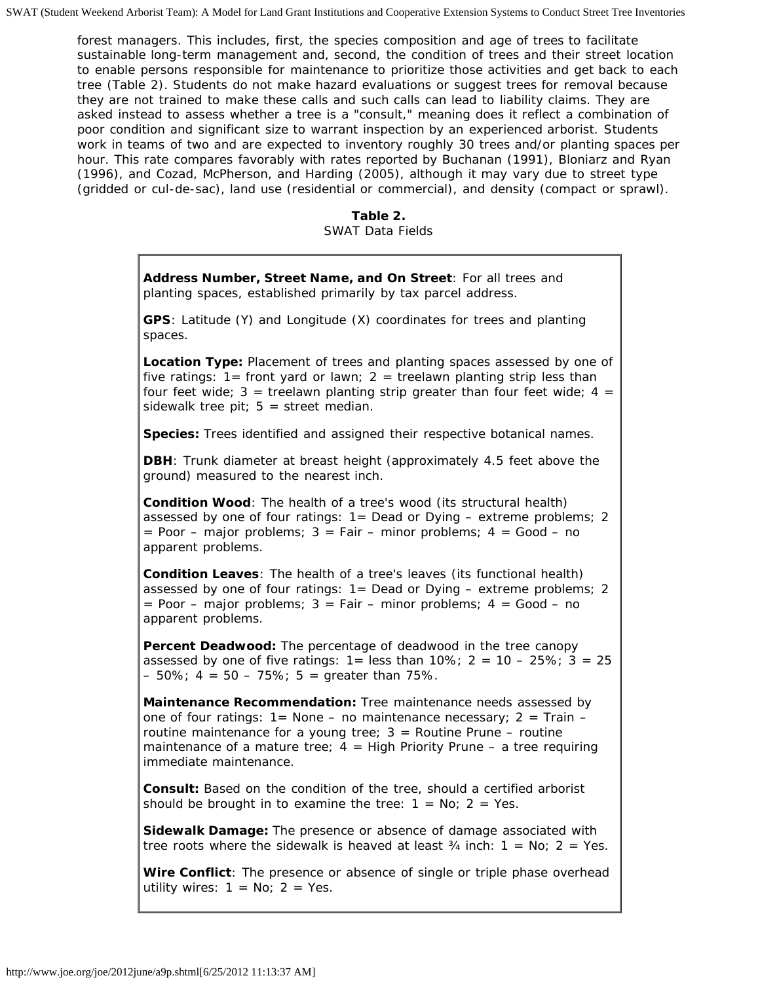forest managers. This includes, first, the species composition and age of trees to facilitate sustainable long-term management and, second, the condition of trees and their street location to enable persons responsible for maintenance to prioritize those activities and get back to each tree (Table 2). Students do not make hazard evaluations or suggest trees for removal because they are not trained to make these calls and such calls can lead to liability claims. They are asked instead to assess whether a tree is a "consult," meaning does it reflect a combination of poor condition and significant size to warrant inspection by an experienced arborist. Students work in teams of two and are expected to inventory roughly 30 trees and/or planting spaces per hour. This rate compares favorably with rates reported by Buchanan (1991), Bloniarz and Ryan (1996), and Cozad, McPherson, and Harding (2005), although it may vary due to street type (gridded or cul-de-sac), land use (residential or commercial), and density (compact or sprawl).

**Table 2.**

SWAT Data Fields

| Address Number, Street Name, and On Street: For all trees and<br>planting spaces, established primarily by tax parcel address.                                                                                                                                                                                                 |
|--------------------------------------------------------------------------------------------------------------------------------------------------------------------------------------------------------------------------------------------------------------------------------------------------------------------------------|
| GPS: Latitude (Y) and Longitude (X) coordinates for trees and planting<br>spaces.                                                                                                                                                                                                                                              |
| Location Type: Placement of trees and planting spaces assessed by one of<br>five ratings: $1 =$ front yard or lawn; $2 =$ treelawn planting strip less than<br>four feet wide; $3$ = treelawn planting strip greater than four feet wide; $4$ =<br>sidewalk tree pit; $5 =$ street median.                                     |
| Species: Trees identified and assigned their respective botanical names.                                                                                                                                                                                                                                                       |
| <b>DBH</b> : Trunk diameter at breast height (approximately 4.5 feet above the<br>ground) measured to the nearest inch.                                                                                                                                                                                                        |
| Condition Wood: The health of a tree's wood (its structural health)<br>assessed by one of four ratings: 1= Dead or Dying - extreme problems; 2<br>= Poor - major problems; $3 = Fair - minor problems$ ; $4 = Good - no$<br>apparent problems.                                                                                 |
| Condition Leaves: The health of a tree's leaves (its functional health)<br>assessed by one of four ratings: 1= Dead or Dying - extreme problems; 2<br>= Poor - major problems; $3 = Fair - minor problems$ ; $4 = Good - no$<br>apparent problems.                                                                             |
| Percent Deadwood: The percentage of deadwood in the tree canopy<br>assessed by one of five ratings: $1 =$ less than $10\%$ ; $2 = 10 - 25\%$ ; $3 = 25$<br>$-50\%$ ; 4 = 50 - 75%; 5 = greater than 75%.                                                                                                                       |
| Maintenance Recommendation: Tree maintenance needs assessed by<br>one of four ratings: $1 =$ None $-$ no maintenance necessary; $2 =$ Train $-$<br>routine maintenance for a young tree; $3 =$ Routine Prune - routine<br>maintenance of a mature tree; $4 = High$ Priority Prune – a tree requiring<br>immediate maintenance. |
| Consult: Based on the condition of the tree, should a certified arborist<br>should be brought in to examine the tree: $1 = No$ ; $2 = Yes$ .                                                                                                                                                                                   |
| Sidewalk Damage: The presence or absence of damage associated with<br>tree roots where the sidewalk is heaved at least $\frac{3}{4}$ inch: $1 = No$ ; $2 = Yes$ .                                                                                                                                                              |
| Wire Conflict: The presence or absence of single or triple phase overhead                                                                                                                                                                                                                                                      |

utility wires:  $1 = No$ ;  $2 = Yes$ .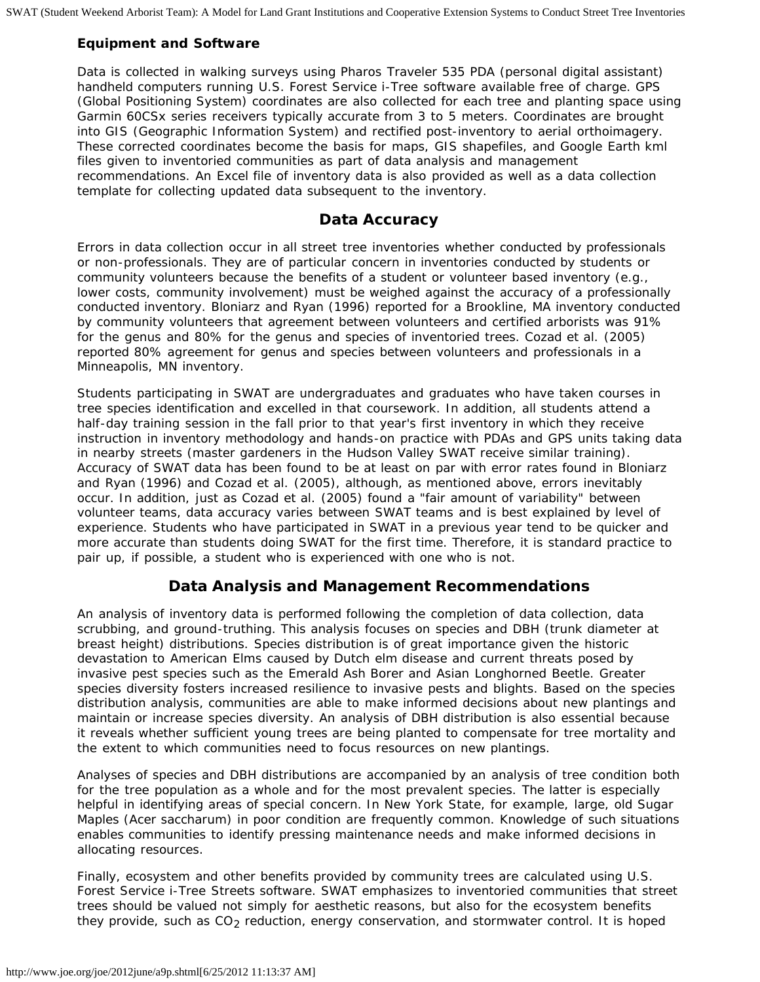#### **Equipment and Software**

Data is collected in walking surveys using Pharos Traveler 535 PDA (personal digital assistant) handheld computers running U.S. Forest Service i-Tree software available free of charge. GPS (Global Positioning System) coordinates are also collected for each tree and planting space using Garmin 60CSx series receivers typically accurate from 3 to 5 meters. Coordinates are brought into GIS (Geographic Information System) and rectified post-inventory to aerial orthoimagery. These corrected coordinates become the basis for maps, GIS shapefiles, and Google Earth kml files given to inventoried communities as part of data analysis and management recommendations. An Excel file of inventory data is also provided as well as a data collection template for collecting updated data subsequent to the inventory.

#### **Data Accuracy**

Errors in data collection occur in all street tree inventories whether conducted by professionals or non-professionals. They are of particular concern in inventories conducted by students or community volunteers because the benefits of a student or volunteer based inventory (e.g., lower costs, community involvement) must be weighed against the accuracy of a professionally conducted inventory. Bloniarz and Ryan (1996) reported for a Brookline, MA inventory conducted by community volunteers that agreement between volunteers and certified arborists was 91% for the genus and 80% for the genus and species of inventoried trees. Cozad et al. (2005) reported 80% agreement for genus and species between volunteers and professionals in a Minneapolis, MN inventory.

Students participating in SWAT are undergraduates and graduates who have taken courses in tree species identification and excelled in that coursework. In addition, all students attend a half-day training session in the fall prior to that year's first inventory in which they receive instruction in inventory methodology and hands-on practice with PDAs and GPS units taking data in nearby streets (master gardeners in the Hudson Valley SWAT receive similar training). Accuracy of SWAT data has been found to be at least on par with error rates found in Bloniarz and Ryan (1996) and Cozad et al. (2005), although, as mentioned above, errors inevitably occur. In addition, just as Cozad et al. (2005) found a "fair amount of variability" between volunteer teams, data accuracy varies between SWAT teams and is best explained by level of experience. Students who have participated in SWAT in a previous year tend to be quicker and more accurate than students doing SWAT for the first time. Therefore, it is standard practice to pair up, if possible, a student who is experienced with one who is not.

#### **Data Analysis and Management Recommendations**

An analysis of inventory data is performed following the completion of data collection, data scrubbing, and ground-truthing. This analysis focuses on species and DBH (trunk diameter at breast height) distributions. Species distribution is of great importance given the historic devastation to American Elms caused by Dutch elm disease and current threats posed by invasive pest species such as the Emerald Ash Borer and Asian Longhorned Beetle. Greater species diversity fosters increased resilience to invasive pests and blights. Based on the species distribution analysis, communities are able to make informed decisions about new plantings and maintain or increase species diversity. An analysis of DBH distribution is also essential because it reveals whether sufficient young trees are being planted to compensate for tree mortality and the extent to which communities need to focus resources on new plantings.

Analyses of species and DBH distributions are accompanied by an analysis of tree condition both for the tree population as a whole and for the most prevalent species. The latter is especially helpful in identifying areas of special concern. In New York State, for example, large, old Sugar Maples (Acer saccharum) in poor condition are frequently common. Knowledge of such situations enables communities to identify pressing maintenance needs and make informed decisions in allocating resources.

Finally, ecosystem and other benefits provided by community trees are calculated using U.S. Forest Service i-Tree Streets software. SWAT emphasizes to inventoried communities that street trees should be valued not simply for aesthetic reasons, but also for the ecosystem benefits they provide, such as  $CO<sub>2</sub>$  reduction, energy conservation, and stormwater control. It is hoped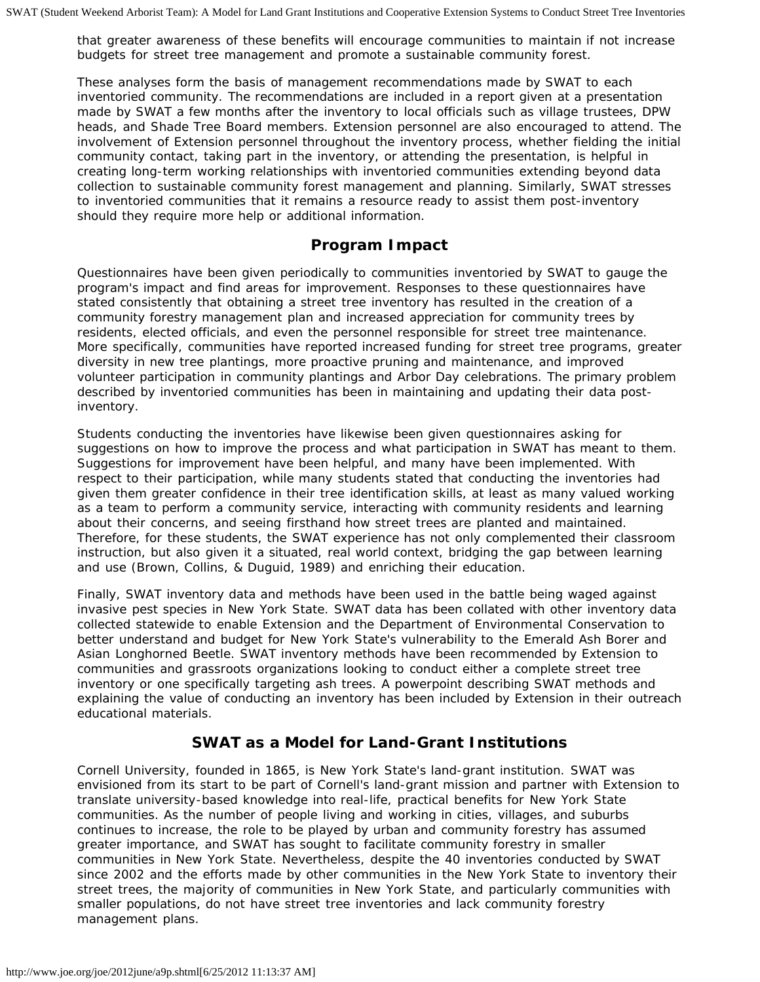that greater awareness of these benefits will encourage communities to maintain if not increase budgets for street tree management and promote a sustainable community forest.

These analyses form the basis of management recommendations made by SWAT to each inventoried community. The recommendations are included in a report given at a presentation made by SWAT a few months after the inventory to local officials such as village trustees, DPW heads, and Shade Tree Board members. Extension personnel are also encouraged to attend. The involvement of Extension personnel throughout the inventory process, whether fielding the initial community contact, taking part in the inventory, or attending the presentation, is helpful in creating long-term working relationships with inventoried communities extending beyond data collection to sustainable community forest management and planning. Similarly, SWAT stresses to inventoried communities that it remains a resource ready to assist them post-inventory should they require more help or additional information.

#### **Program Impact**

Questionnaires have been given periodically to communities inventoried by SWAT to gauge the program's impact and find areas for improvement. Responses to these questionnaires have stated consistently that obtaining a street tree inventory has resulted in the creation of a community forestry management plan and increased appreciation for community trees by residents, elected officials, and even the personnel responsible for street tree maintenance. More specifically, communities have reported increased funding for street tree programs, greater diversity in new tree plantings, more proactive pruning and maintenance, and improved volunteer participation in community plantings and Arbor Day celebrations. The primary problem described by inventoried communities has been in maintaining and updating their data postinventory.

Students conducting the inventories have likewise been given questionnaires asking for suggestions on how to improve the process and what participation in SWAT has meant to them. Suggestions for improvement have been helpful, and many have been implemented. With respect to their participation, while many students stated that conducting the inventories had given them greater confidence in their tree identification skills, at least as many valued working as a team to perform a community service, interacting with community residents and learning about their concerns, and seeing firsthand how street trees are planted and maintained. Therefore, for these students, the SWAT experience has not only complemented their classroom instruction, but also given it a situated, real world context, bridging the gap between learning and use (Brown, Collins, & Duguid, 1989) and enriching their education.

Finally, SWAT inventory data and methods have been used in the battle being waged against invasive pest species in New York State. SWAT data has been collated with other inventory data collected statewide to enable Extension and the Department of Environmental Conservation to better understand and budget for New York State's vulnerability to the Emerald Ash Borer and Asian Longhorned Beetle. SWAT inventory methods have been recommended by Extension to communities and grassroots organizations looking to conduct either a complete street tree inventory or one specifically targeting ash trees. A powerpoint describing SWAT methods and explaining the value of conducting an inventory has been included by Extension in their outreach educational materials.

#### **SWAT as a Model for Land-Grant Institutions**

Cornell University, founded in 1865, is New York State's land-grant institution. SWAT was envisioned from its start to be part of Cornell's land-grant mission and partner with Extension to translate university-based knowledge into real-life, practical benefits for New York State communities. As the number of people living and working in cities, villages, and suburbs continues to increase, the role to be played by urban and community forestry has assumed greater importance, and SWAT has sought to facilitate community forestry in smaller communities in New York State. Nevertheless, despite the 40 inventories conducted by SWAT since 2002 and the efforts made by other communities in the New York State to inventory their street trees, the majority of communities in New York State, and particularly communities with smaller populations, do not have street tree inventories and lack community forestry management plans.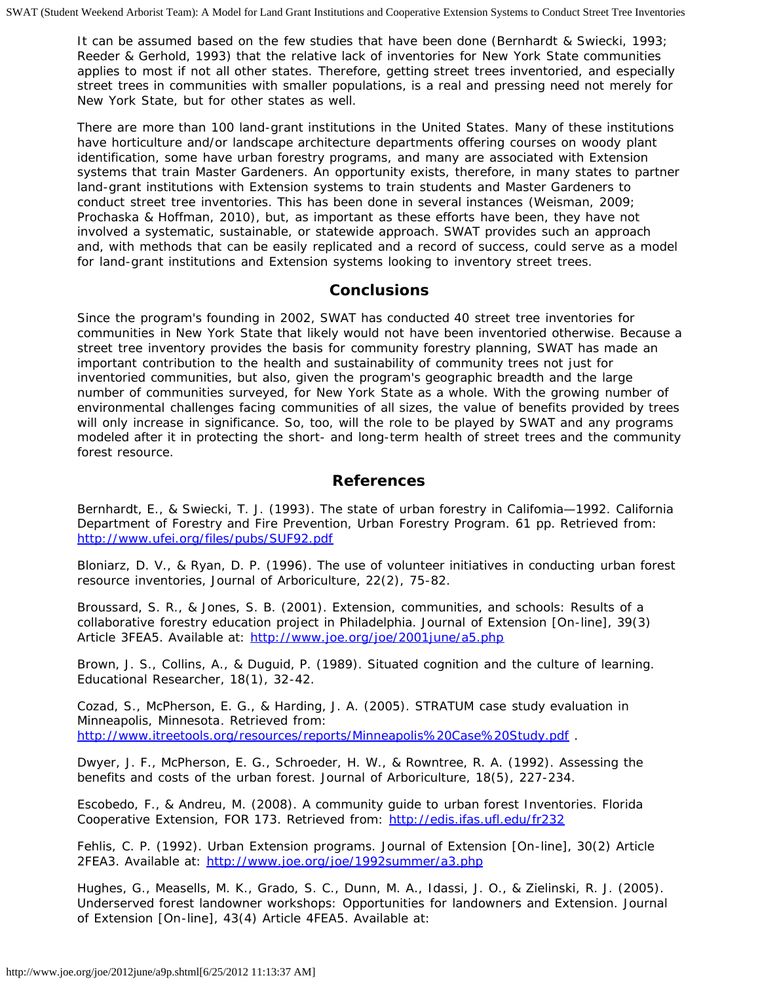It can be assumed based on the few studies that have been done (Bernhardt & Swiecki, 1993; Reeder & Gerhold, 1993) that the relative lack of inventories for New York State communities applies to most if not all other states. Therefore, getting street trees inventoried, and especially street trees in communities with smaller populations, is a real and pressing need not merely for New York State, but for other states as well.

There are more than 100 land-grant institutions in the United States. Many of these institutions have horticulture and/or landscape architecture departments offering courses on woody plant identification, some have urban forestry programs, and many are associated with Extension systems that train Master Gardeners. An opportunity exists, therefore, in many states to partner land-grant institutions with Extension systems to train students and Master Gardeners to conduct street tree inventories. This has been done in several instances (Weisman, 2009; Prochaska & Hoffman, 2010), but, as important as these efforts have been, they have not involved a systematic, sustainable, or statewide approach. SWAT provides such an approach and, with methods that can be easily replicated and a record of success, could serve as a model for land-grant institutions and Extension systems looking to inventory street trees.

#### **Conclusions**

Since the program's founding in 2002, SWAT has conducted 40 street tree inventories for communities in New York State that likely would not have been inventoried otherwise. Because a street tree inventory provides the basis for community forestry planning, SWAT has made an important contribution to the health and sustainability of community trees not just for inventoried communities, but also, given the program's geographic breadth and the large number of communities surveyed, for New York State as a whole. With the growing number of environmental challenges facing communities of all sizes, the value of benefits provided by trees will only increase in significance. So, too, will the role to be played by SWAT and any programs modeled after it in protecting the short- and long-term health of street trees and the community forest resource.

#### **References**

Bernhardt, E., & Swiecki, T. J. (1993). The state of urban forestry in Califomia—1992. California Department of Forestry and Fire Prevention, Urban Forestry Program. 61 pp. Retrieved from: <http://www.ufei.org/files/pubs/SUF92.pdf>

Bloniarz, D. V., & Ryan, D. P. (1996). The use of volunteer initiatives in conducting urban forest resource inventories, *Journal of Arboriculture*, 22(2), 75-82.

Broussard, S. R., & Jones, S. B. (2001). Extension, communities, and schools: Results of a collaborative forestry education project in Philadelphia. *Journal of Extension* [On-line], 39(3) Article 3FEA5. Available at: <http://www.joe.org/joe/2001june/a5.php>

Brown, J. S., Collins, A., & Duguid, P. (1989). Situated cognition and the culture of learning. *Educational Researcher*, 18(1), 32-42.

Cozad, S., McPherson, E. G., & Harding, J. A. (2005). *STRATUM case study evaluation in Minneapolis, Minnesota*. Retrieved from: <http://www.itreetools.org/resources/reports/Minneapolis%20Case%20Study.pdf>.

Dwyer, J. F., McPherson, E. G., Schroeder, H. W., & Rowntree, R. A. (1992). Assessing the benefits and costs of the urban forest. *Journal of Arboriculture*, 18(5), 227-234.

Escobedo, F., & Andreu, M. (2008). *A community guide to urban forest Inventories*. Florida Cooperative Extension, FOR 173. Retrieved from: <http://edis.ifas.ufl.edu/fr232>

Fehlis, C. P. (1992). Urban Extension programs. *Journal of Extension* [On-line], 30(2) Article 2FEA3. Available at: <http://www.joe.org/joe/1992summer/a3.php>

Hughes, G., Measells, M. K., Grado, S. C., Dunn, M. A., Idassi, J. O., & Zielinski, R. J. (2005). Underserved forest landowner workshops: Opportunities for landowners and Extension. *Journal of Extension* [On-line], 43(4) Article 4FEA5. Available at: